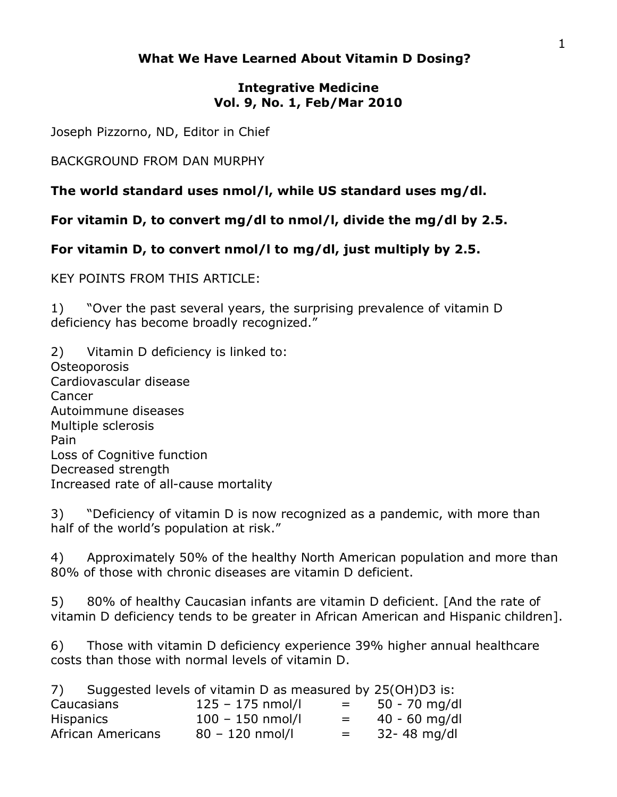## **What We Have Learned About Vitamin D Dosing?**

## **Integrative Medicine Vol. 9, No. 1, Feb/Mar 2010**

Joseph Pizzorno, ND, Editor in Chief

BACKGROUND FROM DAN MURPHY

**The world standard uses nmol/l, while US standard uses mg/dl.**

**For vitamin D, to convert mg/dl to nmol/l, divide the mg/dl by 2.5.**

**For vitamin D, to convert nmol/l to mg/dl, just multiply by 2.5.** 

KEY POINTS FROM THIS ARTICLE:

1) "Over the past several years, the surprising prevalence of vitamin D deficiency has become broadly recognized."

2) Vitamin D deficiency is linked to: Osteoporosis Cardiovascular disease Cancer Autoimmune diseases Multiple sclerosis Pain Loss of Cognitive function Decreased strength Increased rate of all-cause mortality

3) "Deficiency of vitamin D is now recognized as a pandemic, with more than half of the world's population at risk."

4) Approximately 50% of the healthy North American population and more than 80% of those with chronic diseases are vitamin D deficient.

5) 80% of healthy Caucasian infants are vitamin D deficient. [And the rate of vitamin D deficiency tends to be greater in African American and Hispanic children].

6) Those with vitamin D deficiency experience 39% higher annual healthcare costs than those with normal levels of vitamin D.

|                   | 7) Suggested levels of vitamin D as measured by 25(OH)D3 is: |                           |                 |
|-------------------|--------------------------------------------------------------|---------------------------|-----------------|
| Caucasians        | $125 - 175$ nmol/l                                           | $\mathbf{r} = \mathbf{r}$ | 50 - 70 mg/dl   |
| <b>Hispanics</b>  | $100 - 150$ nmol/l                                           | $=$                       | $40 - 60$ mg/dl |
| African Americans | $80 - 120$ nmol/l                                            | $=$ $-$                   | 32-48 mg/dl     |